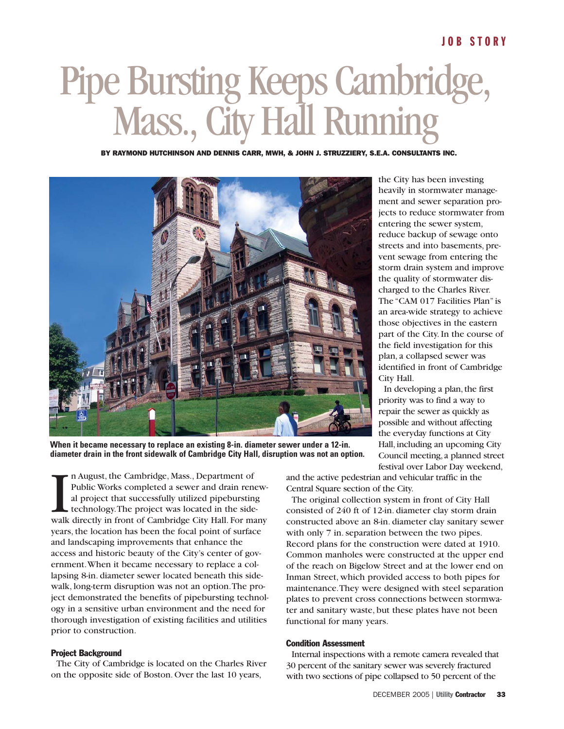# Pipe Bursting Keeps Cambridge, Mass., City Hall Running

BY RAYMOND HUTCHINSON AND DENNIS CARR, MWH, & JOHN J. STRUZZIERY, S.E.A. CONSULTANTS INC.



**When it became necessary to replace an existing 8-in. diameter sewer under a 12-in. diameter drain in the front sidewalk of Cambridge City Hall, disruption was not an option.**

In August, the Cambridge, Mass., Department of<br>Public Works completed a sewer and drain renew-<br>al project that successfully utilized pipebursting<br>technology.The project was located in the side-<br>walk directly in front of Ca n August, the Cambridge, Mass., Department of Public Works completed a sewer and drain renewal project that successfully utilized pipebursting technology.The project was located in the sideyears, the location has been the focal point of surface and landscaping improvements that enhance the access and historic beauty of the City's center of government.When it became necessary to replace a collapsing 8-in. diameter sewer located beneath this sidewalk, long-term disruption was not an option.The project demonstrated the benefits of pipebursting technology in a sensitive urban environment and the need for thorough investigation of existing facilities and utilities prior to construction.

### Project Background

The City of Cambridge is located on the Charles River on the opposite side of Boston. Over the last 10 years,

the City has been investing heavily in stormwater management and sewer separation projects to reduce stormwater from entering the sewer system, reduce backup of sewage onto streets and into basements, prevent sewage from entering the storm drain system and improve the quality of stormwater discharged to the Charles River. The "CAM 017 Facilities Plan" is an area-wide strategy to achieve those objectives in the eastern part of the City. In the course of the field investigation for this plan, a collapsed sewer was identified in front of Cambridge City Hall.

In developing a plan, the first priority was to find a way to repair the sewer as quickly as possible and without affecting the everyday functions at City Hall, including an upcoming City Council meeting,a planned street festival over Labor Day weekend,

and the active pedestrian and vehicular traffic in the Central Square section of the City.

The original collection system in front of City Hall consisted of 240 ft of 12-in. diameter clay storm drain constructed above an 8-in. diameter clay sanitary sewer with only 7 in. separation between the two pipes. Record plans for the construction were dated at 1910. Common manholes were constructed at the upper end of the reach on Bigelow Street and at the lower end on Inman Street, which provided access to both pipes for maintenance.They were designed with steel separation plates to prevent cross connections between stormwater and sanitary waste, but these plates have not been functional for many years.

### Condition Assessment

Internal inspections with a remote camera revealed that 30 percent of the sanitary sewer was severely fractured with two sections of pipe collapsed to 50 percent of the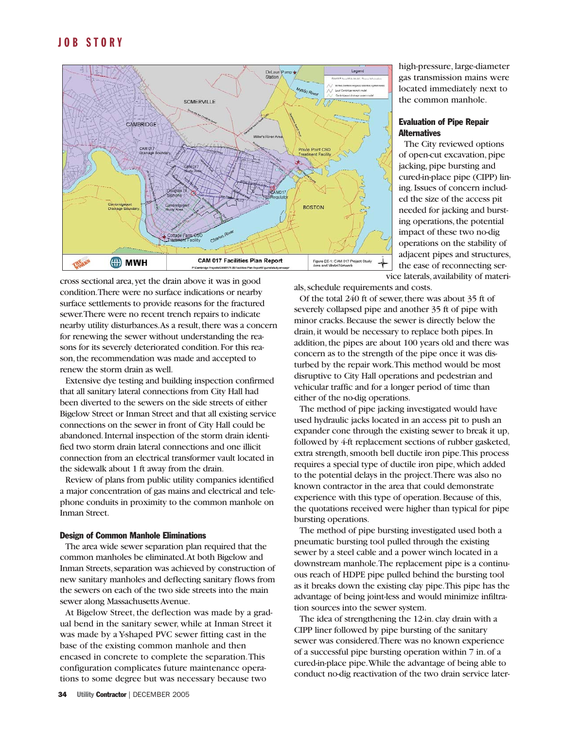

cross sectional area,yet the drain above it was in good condition.There were no surface indications or nearby surface settlements to provide reasons for the fractured sewer.There were no recent trench repairs to indicate nearby utility disturbances.As a result, there was a concern for renewing the sewer without understanding the reasons for its severely deteriorated condition. For this reason, the recommendation was made and accepted to renew the storm drain as well.

Extensive dye testing and building inspection confirmed that all sanitary lateral connections from City Hall had been diverted to the sewers on the side streets of either Bigelow Street or Inman Street and that all existing service connections on the sewer in front of City Hall could be abandoned.Internal inspection of the storm drain identified two storm drain lateral connections and one illicit connection from an electrical transformer vault located in the sidewalk about 1 ft away from the drain.

Review of plans from public utility companies identified a major concentration of gas mains and electrical and telephone conduits in proximity to the common manhole on Inman Street.

### Design of Common Manhole Eliminations

The area wide sewer separation plan required that the common manholes be eliminated.At both Bigelow and Inman Streets, separation was achieved by construction of new sanitary manholes and deflecting sanitary flows from the sewers on each of the two side streets into the main sewer along Massachusetts Avenue.

At Bigelow Street, the deflection was made by a gradual bend in the sanitary sewer, while at Inman Street it was made by a Y-shaped PVC sewer fitting cast in the base of the existing common manhole and then encased in concrete to complete the separation.This configuration complicates future maintenance operations to some degree but was necessary because two

high-pressure, large-diameter gas transmission mains were located immediately next to the common manhole.

# Evaluation of Pipe Repair **Alternatives**

The City reviewed options of open-cut excavation,pipe jacking, pipe bursting and cured-in-place pipe (CIPP) lining.Issues of concern included the size of the access pit needed for jacking and bursting operations, the potential impact of these two no-dig operations on the stability of adjacent pipes and structures, the ease of reconnecting service laterals,availability of materi-

als,schedule requirements and costs.

Of the total 240 ft of sewer, there was about 35 ft of severely collapsed pipe and another 35 ft of pipe with minor cracks.Because the sewer is directly below the drain, it would be necessary to replace both pipes. In addition, the pipes are about 100 years old and there was concern as to the strength of the pipe once it was disturbed by the repair work.This method would be most disruptive to City Hall operations and pedestrian and vehicular traffic and for a longer period of time than either of the no-dig operations.

The method of pipe jacking investigated would have used hydraulic jacks located in an access pit to push an expander cone through the existing sewer to break it up, followed by 4-ft replacement sections of rubber gasketed, extra strength, smooth bell ductile iron pipe. This process requires a special type of ductile iron pipe,which added to the potential delays in the project.There was also no known contractor in the area that could demonstrate experience with this type of operation. Because of this, the quotations received were higher than typical for pipe bursting operations.

The method of pipe bursting investigated used both a pneumatic bursting tool pulled through the existing sewer by a steel cable and a power winch located in a downstream manhole.The replacement pipe is a continuous reach of HDPE pipe pulled behind the bursting tool as it breaks down the existing clay pipe.This pipe has the advantage of being joint-less and would minimize infiltration sources into the sewer system.

The idea of strengthening the 12-in. clay drain with a CIPP liner followed by pipe bursting of the sanitary sewer was considered.There was no known experience of a successful pipe bursting operation within 7 in.of a cured-in-place pipe.While the advantage of being able to conduct no-dig reactivation of the two drain service later